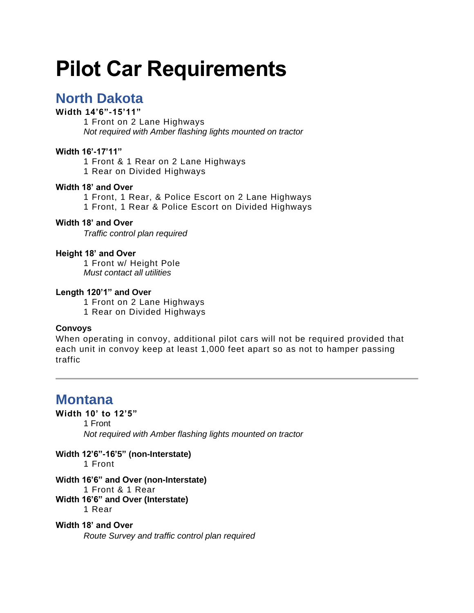# **Pilot Car Requirements**

# **North Dakota**

### **Width 14'6"-15'11"**

1 Front on 2 Lane Highways *Not required with Amber flashing lights mounted on tractor*

#### **Width 16'-17'11"**

1 Front & 1 Rear on 2 Lane Highways 1 Rear on Divided Highways

### **Width 18' and Over**

1 Front, 1 Rear, & Police Escort on 2 Lane Highways 1 Front, 1 Rear & Police Escort on Divided Highways

#### **Width 18' and Over**

*Traffic control plan required*

#### **Height 18' and Over**

1 Front w/ Height Pole *Must contact all utilities*

#### **Length 120'1" and Over**

1 Front on 2 Lane Highways 1 Rear on Divided Highways

#### **Convoys**

When operating in convoy, additional pilot cars will not be required provided that each unit in convoy keep at least 1,000 feet apart so as not to hamper passing traffic

# **Montana**

#### **Width 10' to 12'5"**

1 Front

*Not required with Amber flashing lights mounted on tractor*

**Width 12'6"-16'5" (non-Interstate)**

1 Front

# **Width 16'6" and Over (non-Interstate)**

1 Front & 1 Rear

**Width 16'6" and Over (Interstate)** 1 Rear

# **Width 18' and Over**

*Route Survey and traffic control plan required*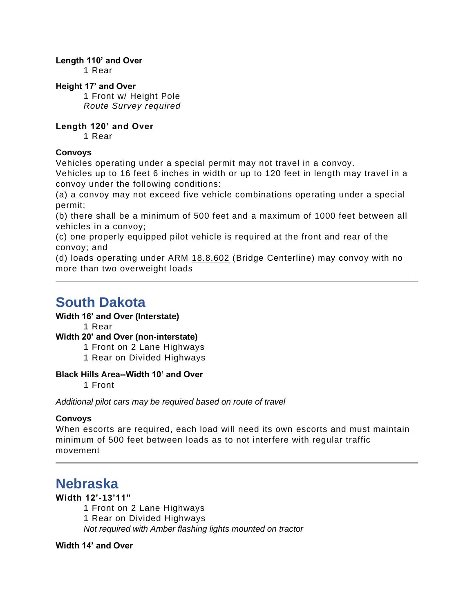#### **Length 110' and Over**

1 Rear

### **Height 17' and Over**

1 Front w/ Height Pole *Route Survey required*

### **Length 120' and Over**

1 Rear

### **Convoys**

Vehicles operating under a special permit may not travel in a convoy.

Vehicles up to 16 feet 6 inches in width or up to 120 feet in length may travel in a convoy under the following conditions:

(a) a convoy may not exceed five vehicle combinations operating under a special permit;

(b) there shall be a minimum of 500 feet and a maximum of 1000 feet between all vehicles in a convoy;

(c) one properly equipped pilot vehicle is required at the front and rear of the convoy; and

(d) loads operating under ARM [18.8.602](https://rules.mt.gov/gateway/ruleno.asp?RN=18.8.602) (Bridge Centerline) may convoy with no more than two overweight loads

# **South Dakota**

#### **Width 16' and Over (Interstate)**

1 Rear

# **Width 20' and Over (non-interstate)**

1 Front on 2 Lane Highways

1 Rear on Divided Highways

#### **Black Hills Area--Width 10' and Over**

1 Front

*Additional pilot cars may be required based on route of travel*

#### **Convoys**

When escorts are required, each load will need its own escorts and must maintain minimum of 500 feet between loads as to not interfere with regular traffic movement

# **Nebraska**

# **Width 12'-13'11"**

1 Front on 2 Lane Highways 1 Rear on Divided Highways *Not required with Amber flashing lights mounted on tractor*

# **Width 14' and Over**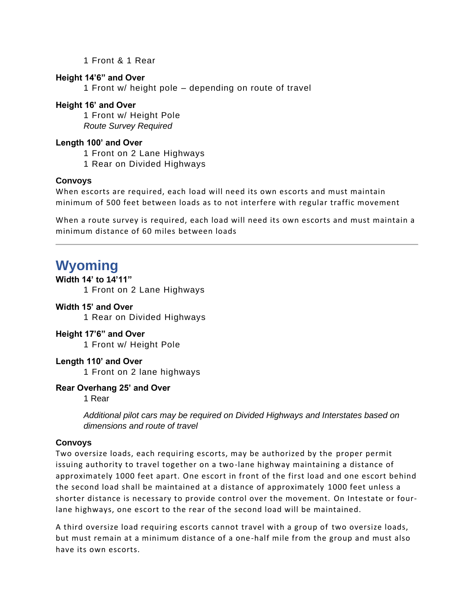1 Front & 1 Rear

#### **Height 14'6" and Over**

1 Front w/ height pole – depending on route of travel

#### **Height 16' and Over**

1 Front w/ Height Pole *Route Survey Required*

#### **Length 100' and Over**

1 Front on 2 Lane Highways

1 Rear on Divided Highways

#### **Convoys**

When escorts are required, each load will need its own escorts and must maintain minimum of 500 feet between loads as to not interfere with regular traffic movement

When a route survey is required, each load will need its own escorts and must maintain a minimum distance of 60 miles between loads

# **Wyoming**

# **Width 14' to 14'11"**

1 Front on 2 Lane Highways

### **Width 15' and Over**

1 Rear on Divided Highways

#### **Height 17'6" and Over**

1 Front w/ Height Pole

#### **Length 110' and Over**

1 Front on 2 lane highways

#### **Rear Overhang 25' and Over**

1 Rear

*Additional pilot cars may be required on Divided Highways and Interstates based on dimensions and route of travel*

#### **Convoys**

Two oversize loads, each requiring escorts, may be authorized by the proper permit issuing authority to travel together on a two-lane highway maintaining a distance of approximately 1000 feet apart. One escort in front of the first load and one escort behind the second load shall be maintained at a distance of approximately 1000 feet unless a shorter distance is necessary to provide control over the movement. On Intestate or fourlane highways, one escort to the rear of the second load will be maintained.

A third oversize load requiring escorts cannot travel with a group of two oversize loads, but must remain at a minimum distance of a one-half mile from the group and must also have its own escorts.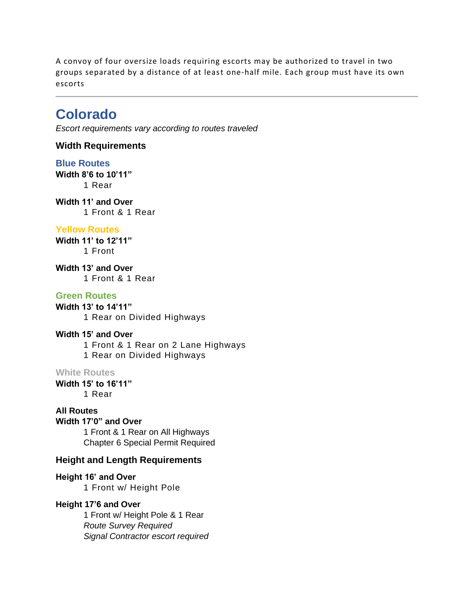A convoy of four oversize loads requiring escorts may be authorized to travel in two groups separated by a distance of at least one-half mile. Each group must have its own escorts

# **Colorado**

*Escort requirements vary according to routes traveled*

**Width Requirements**

**Blue Routes Width 8'6 to 10'11"** 1 Rear

**Width 11' and Over** 1 Front & 1 Rear

#### **Yellow Routes**

**Width 11' to 12'11"** 1 Front

**Width 13' and Over** 1 Front & 1 Rear

#### **Green Routes**

**Width 13' to 14'11"** 1 Rear on Divided Highways

#### **Width 15' and Over**

1 Front & 1 Rear on 2 Lane Highways 1 Rear on Divided Highways

#### **White Routes**

**Width 15' to 16'11"** 1 Rear

### **All Routes**

# **Width 17'0" and Over**

1 Front & 1 Rear on All Highways Chapter 6 Special Permit Required

### **Height and Length Requirements**

**Height 16' and Over** 1 Front w/ Height Pole

#### **Height 17'6 and Over**

1 Front w/ Height Pole & 1 Rear *Route Survey Required Signal Contractor escort required*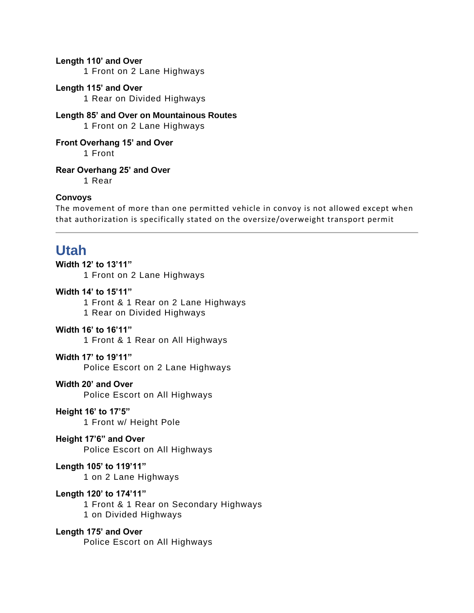#### **Length 110' and Over**

1 Front on 2 Lane Highways

#### **Length 115' and Over**

1 Rear on Divided Highways

**Length 85' and Over on Mountainous Routes** 1 Front on 2 Lane Highways

**Front Overhang 15' and Over** 1 Front

**Rear Overhang 25' and Over**

1 Rear

#### **Convoys**

The movement of more than one permitted vehicle in convoy is not allowed except when that authorization is specifically stated on the oversize/overweight transport permit

# **Utah**

**Width 12' to 13'11"** 1 Front on 2 Lane Highways

### **Width 14' to 15'11"**

1 Front & 1 Rear on 2 Lane Highways 1 Rear on Divided Highways

#### **Width 16' to 16'11"**

1 Front & 1 Rear on All Highways

#### **Width 17' to 19'11"**

Police Escort on 2 Lane Highways

#### **Width 20' and Over**

Police Escort on All Highways

#### **Height 16' to 17'5"**

1 Front w/ Height Pole

### **Height 17'6" and Over**

Police Escort on All Highways

#### **Length 105' to 119'11"**

1 on 2 Lane Highways

### **Length 120' to 174'11"**

1 Front & 1 Rear on Secondary Highways 1 on Divided Highways

#### **Length 175' and Over**

Police Escort on All Highways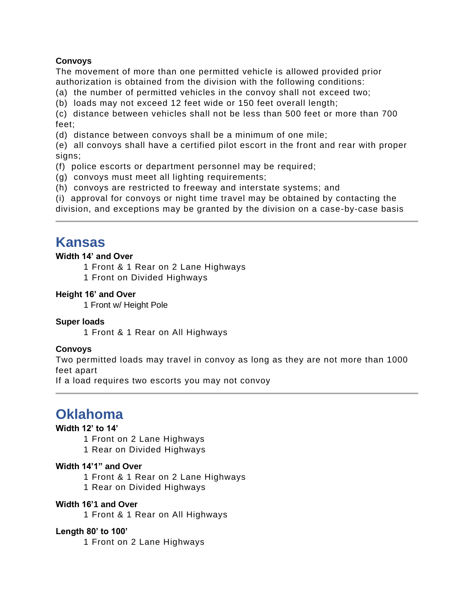### **Convoys**

The movement of more than one permitted vehicle is allowed provided prior authorization is obtained from the division with the following conditions:

(a) the number of permitted vehicles in the convoy shall not exceed two;

(b) loads may not exceed 12 feet wide or 150 feet overall length;

(c) distance between vehicles shall not be less than 500 feet or more than 700 feet;

(d) distance between convoys shall be a minimum of one mile;

(e) all convoys shall have a certified pilot escort in the front and rear with proper signs:

(f) police escorts or department personnel may be required;

- (g) convoys must meet all lighting requirements;
- (h) convoys are restricted to freeway and interstate systems; and

(i) approval for convoys or night time travel may be obtained by contacting the

division, and exceptions may be granted by the division on a case-by-case basis

# **Kansas**

### **Width 14' and Over**

1 Front & 1 Rear on 2 Lane Highways

1 Front on Divided Highways

### **Height 16' and Over**

1 Front w/ Height Pole

#### **Super loads**

1 Front & 1 Rear on All Highways

# **Convoys**

Two permitted loads may travel in convoy as long as they are not more than 1000 feet apart

If a load requires two escorts you may not convoy

# **Oklahoma**

# **Width 12' to 14'**

1 Front on 2 Lane Highways

1 Rear on Divided Highways

# **Width 14'1" and Over**

1 Front & 1 Rear on 2 Lane Highways 1 Rear on Divided Highways

#### **Width 16'1 and Over**

1 Front & 1 Rear on All Highways

#### **Length 80' to 100'**

1 Front on 2 Lane Highways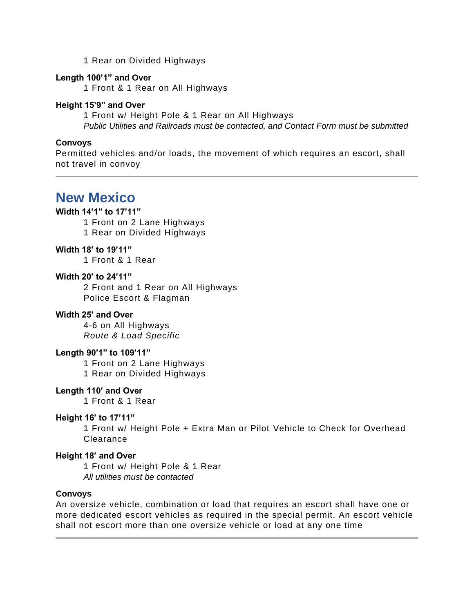1 Rear on Divided Highways

#### **Length 100'1" and Over**

1 Front & 1 Rear on All Highways

#### **Height 15'9" and Over**

1 Front w/ Height Pole & 1 Rear on All Highways *Public Utilities and Railroads must be contacted, and Contact Form must be submitted*

#### **Convoys**

Permitted vehicles and/or loads, the movement of which requires an escort, shall not travel in convoy

# **New Mexico**

#### **Width 14'1" to 17'11"**

1 Front on 2 Lane Highways 1 Rear on Divided Highways

#### **Width 18' to 19'11"**

1 Front & 1 Rear

#### **Width 20' to 24'11"**

2 Front and 1 Rear on All Highways Police Escort & Flagman

#### **Width 25' and Over**

4-6 on All Highways *Route & Load Specific*

#### **Length 90'1" to 109'11"**

1 Front on 2 Lane Highways 1 Rear on Divided Highways

#### **Length 110' and Over**

1 Front & 1 Rear

#### **Height 16' to 17'11"**

1 Front w/ Height Pole + Extra Man or Pilot Vehicle to Check for Overhead Clearance

#### **Height 18' and Over**

1 Front w/ Height Pole & 1 Rear *All utilities must be contacted*

#### **Convoys**

An oversize vehicle, combination or load that requires an escort shall have one or more dedicated escort vehicles as required in the special permit. An escort vehicle shall not escort more than one oversize vehicle or load at any one time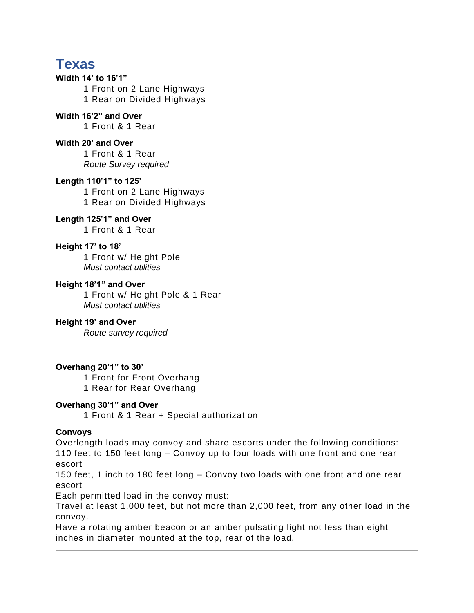# **Texas**

# **Width 14' to 16'1"**

1 Front on 2 Lane Highways 1 Rear on Divided Highways

# **Width 16'2" and Over**

1 Front & 1 Rear

### **Width 20' and Over**

1 Front & 1 Rear *Route Survey required*

### **Length 110'1" to 125'**

1 Front on 2 Lane Highways 1 Rear on Divided Highways

# **Length 125'1" and Over**

1 Front & 1 Rear

### **Height 17' to 18'**

1 Front w/ Height Pole *Must contact utilities*

#### **Height 18'1" and Over**

1 Front w/ Height Pole & 1 Rear *Must contact utilities*

# **Height 19' and Over**

*Route survey required*

# **Overhang 20'1" to 30'**

1 Front for Front Overhang 1 Rear for Rear Overhang

#### **Overhang 30'1" and Over**

1 Front & 1 Rear + Special authorization

# **Convoys**

Overlength loads may convoy and share escorts under the following conditions: 110 feet to 150 feet long – Convoy up to four loads with one front and one rear escort

150 feet, 1 inch to 180 feet long – Convoy two loads with one front and one rear escort

Each permitted load in the convoy must:

Travel at least 1,000 feet, but not more than 2,000 feet, from any other load in the convoy.

Have a rotating amber beacon or an amber pulsating light not less than eight inches in diameter mounted at the top, rear of the load.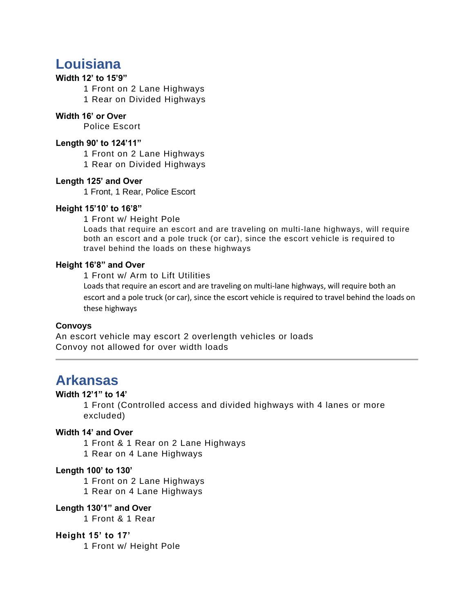# **Louisiana**

#### **Width 12' to 15'9"**

1 Front on 2 Lane Highways 1 Rear on Divided Highways

#### **Width 16' or Over**

Police Escort

#### **Length 90' to 124'11"**

1 Front on 2 Lane Highways

1 Rear on Divided Highways

#### **Length 125' and Over**

1 Front, 1 Rear, Police Escort

#### **Height 15'10' to 16'8"**

1 Front w/ Height Pole

Loads that require an escort and are traveling on multi-lane highways, will require both an escort and a pole truck (or car), since the escort vehicle is required to travel behind the loads on these highways

#### **Height 16'8" and Over**

1 Front w/ Arm to Lift Utilities

Loads that require an escort and are traveling on multi-lane highways, will require both an escort and a pole truck (or car), since the escort vehicle is required to travel behind the loads on these highways

#### **Convoys**

An escort vehicle may escort 2 overlength vehicles or loads Convoy not allowed for over width loads

# **Arkansas**

#### **Width 12'1" to 14'**

1 Front (Controlled access and divided highways with 4 lanes or more excluded)

# **Width 14' and Over**

1 Front & 1 Rear on 2 Lane Highways

1 Rear on 4 Lane Highways

#### **Length 100' to 130'**

1 Front on 2 Lane Highways

1 Rear on 4 Lane Highways

#### **Length 130'1" and Over**

1 Front & 1 Rear

#### **Height 15' to 17'**

1 Front w/ Height Pole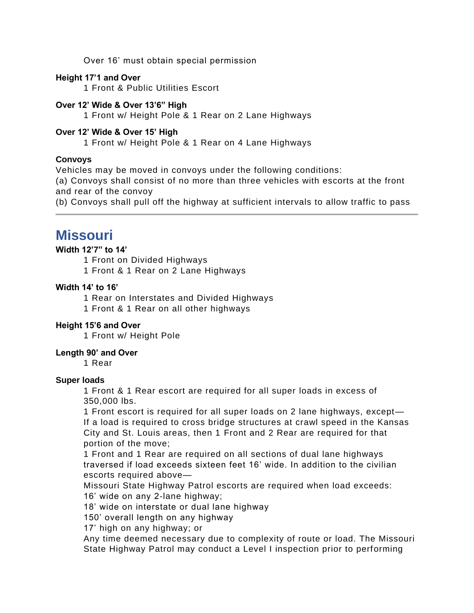Over 16' must obtain special permission

#### **Height 17'1 and Over**

1 Front & Public Utilities Escort

### **Over 12' Wide & Over 13'6" High**

1 Front w/ Height Pole & 1 Rear on 2 Lane Highways

### **Over 12' Wide & Over 15' High**

1 Front w/ Height Pole & 1 Rear on 4 Lane Highways

### **Convoys**

Vehicles may be moved in convoys under the following conditions:

(a) Convoys shall consist of no more than three vehicles with escorts at the front and rear of the convoy

(b) Convoys shall pull off the highway at sufficient intervals to allow traffic to pass

# **Missouri**

#### **Width 12'7" to 14'**

1 Front on Divided Highways 1 Front & 1 Rear on 2 Lane Highways

### **Width 14' to 16'**

1 Rear on Interstates and Divided Highways

1 Front & 1 Rear on all other highways

### **Height 15'6 and Over**

1 Front w/ Height Pole

#### **Length 90' and Over**

1 Rear

#### **Super loads**

1 Front & 1 Rear escort are required for all super loads in excess of 350,000 lbs.

1 Front escort is required for all super loads on 2 lane highways, except— If a load is required to cross bridge structures at crawl speed in the Kansas City and St. Louis areas, then 1 Front and 2 Rear are required for that portion of the move;

1 Front and 1 Rear are required on all sections of dual lane highways traversed if load exceeds sixteen feet 16' wide. In addition to the civilian escorts required above—

Missouri State Highway Patrol escorts are required when load exceeds: 16' wide on any 2-lane highway;

18' wide on interstate or dual lane highway

150' overall length on any highway

17' high on any highway; or

Any time deemed necessary due to complexity of route or load. The Missouri State Highway Patrol may conduct a Level I inspection prior to performing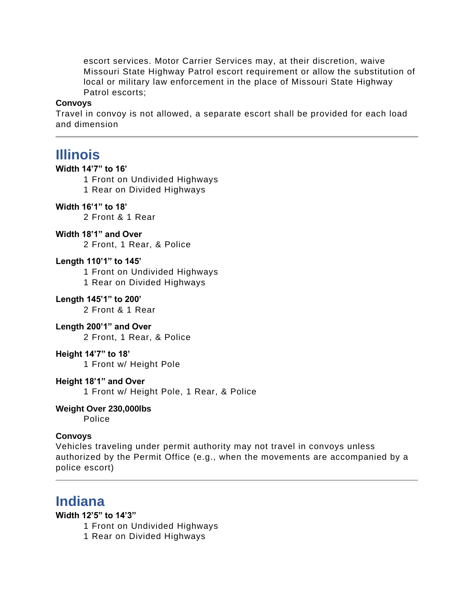escort services. Motor Carrier Services may, at their discretion, waive Missouri State Highway Patrol escort requirement or allow the substitution of local or military law enforcement in the place of Missouri State Highway Patrol escorts;

#### **Convoys**

Travel in convoy is not allowed, a separate escort shall be provided for each load and dimension

# **Illinois**

#### **Width 14'7" to 16'**

1 Front on Undivided Highways

1 Rear on Divided Highways

#### **Width 16'1" to 18'**

2 Front & 1 Rear

#### **Width 18'1" and Over**

2 Front, 1 Rear, & Police

#### **Length 110'1" to 145'**

1 Front on Undivided Highways

1 Rear on Divided Highways

#### **Length 145'1" to 200'**

2 Front & 1 Rear

#### **Length 200'1" and Over**

2 Front, 1 Rear, & Police

#### **Height 14'7" to 18'**

1 Front w/ Height Pole

#### **Height 18'1" and Over**

1 Front w/ Height Pole, 1 Rear, & Police

# **Weight Over 230,000lbs**

Police

#### **Convoys**

Vehicles traveling under permit authority may not travel in convoys unless authorized by the Permit Office (e.g., when the movements are accompanied by a police escort)

# **Indiana**

#### **Width 12'5" to 14'3"**

1 Front on Undivided Highways

1 Rear on Divided Highways